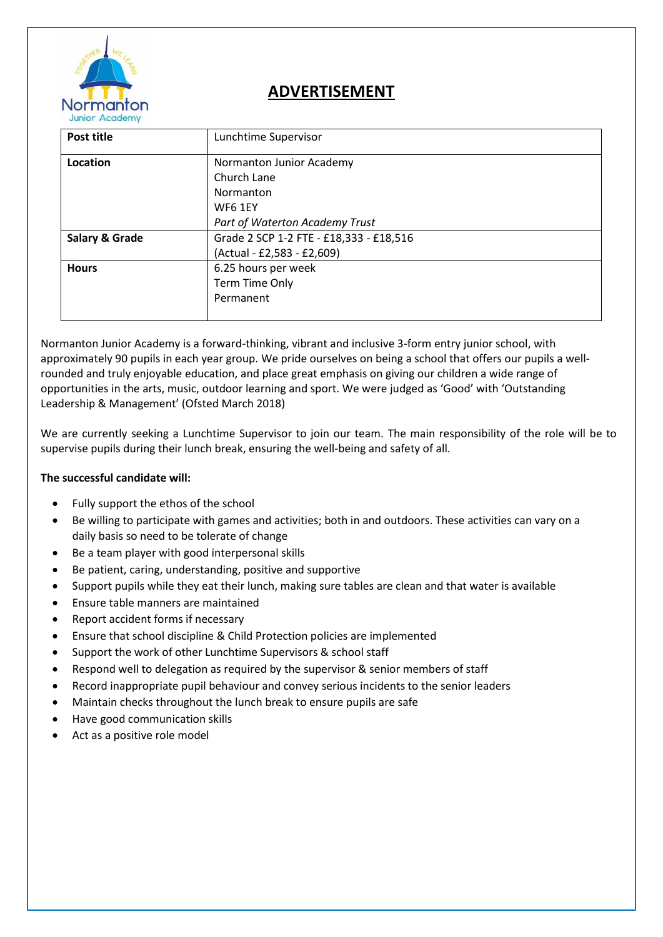

## **ADVERTISEMENT**

| Post title     | Lunchtime Supervisor                    |
|----------------|-----------------------------------------|
| Location       | Normanton Junior Academy                |
|                | Church Lane                             |
|                | Normanton                               |
|                | <b>WF6 1EY</b>                          |
|                | Part of Waterton Academy Trust          |
| Salary & Grade | Grade 2 SCP 1-2 FTE - £18,333 - £18,516 |
|                | (Actual - £2,583 - £2,609)              |
| <b>Hours</b>   | 6.25 hours per week                     |
|                | Term Time Only                          |
|                | Permanent                               |
|                |                                         |

Normanton Junior Academy is a forward-thinking, vibrant and inclusive 3-form entry junior school, with approximately 90 pupils in each year group. We pride ourselves on being a school that offers our pupils a wellrounded and truly enjoyable education, and place great emphasis on giving our children a wide range of opportunities in the arts, music, outdoor learning and sport. We were judged as 'Good' with 'Outstanding Leadership & Management' (Ofsted March 2018)

We are currently seeking a Lunchtime Supervisor to join our team. The main responsibility of the role will be to supervise pupils during their lunch break, ensuring the well-being and safety of all.

## **The successful candidate will:**

- Fully support the ethos of the school
- Be willing to participate with games and activities; both in and outdoors. These activities can vary on a daily basis so need to be tolerate of change
- Be a team player with good interpersonal skills
- Be patient, caring, understanding, positive and supportive
- Support pupils while they eat their lunch, making sure tables are clean and that water is available
- Ensure table manners are maintained
- Report accident forms if necessary
- Ensure that school discipline & Child Protection policies are implemented
- Support the work of other Lunchtime Supervisors & school staff
- Respond well to delegation as required by the supervisor & senior members of staff
- Record inappropriate pupil behaviour and convey serious incidents to the senior leaders
- Maintain checks throughout the lunch break to ensure pupils are safe
- Have good communication skills
- Act as a positive role model